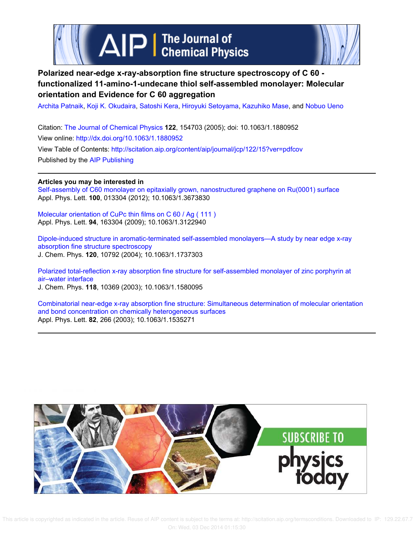

## **Polarized near-edge x-ray-absorption fine structure spectroscopy of C 60 functionalized 11-amino-1-undecane thiol self-assembled monolayer: Molecular orientation and Evidence for C 60 aggregation**

Archita Patnaik, Koji K. Okudaira, Satoshi Kera, Hiroyuki Setoyama, Kazuhiko Mase, and Nobuo Ueno

Citation: The Journal of Chemical Physics **122**, 154703 (2005); doi: 10.1063/1.1880952 View online: http://dx.doi.org/10.1063/1.1880952 View Table of Contents: http://scitation.aip.org/content/aip/journal/jcp/122/15?ver=pdfcov Published by the AIP Publishing

## **Articles you may be interested in**

Self-assembly of C60 monolayer on epitaxially grown, nanostructured graphene on Ru(0001) surface Appl. Phys. Lett. **100**, 013304 (2012); 10.1063/1.3673830

Molecular orientation of CuPc thin films on C 60 / Ag ( 111 ) Appl. Phys. Lett. **94**, 163304 (2009); 10.1063/1.3122940

Dipole-induced structure in aromatic-terminated self-assembled monolayers—A study by near edge x-ray absorption fine structure spectroscopy J. Chem. Phys. **120**, 10792 (2004); 10.1063/1.1737303

Polarized total-reflection x-ray absorption fine structure for self-assembled monolayer of zinc porphyrin at air–water interface J. Chem. Phys. **118**, 10369 (2003); 10.1063/1.1580095

Combinatorial near-edge x-ray absorption fine structure: Simultaneous determination of molecular orientation and bond concentration on chemically heterogeneous surfaces Appl. Phys. Lett. **82**, 266 (2003); 10.1063/1.1535271

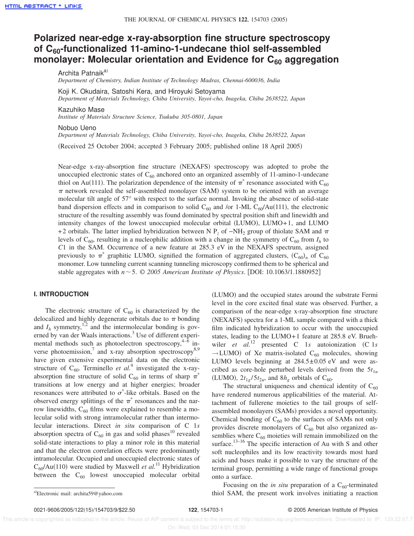# **Polarized near-edge x-ray-absorption fine structure spectroscopy of C60-functionalized 11-amino-1-undecane thiol self-assembled monolayer: Molecular orientation and Evidence for C<sup>60</sup> aggregation**

Archita Patnaik<sup>a)</sup>

*Department of Chemistry, Indian Institute of Technology Madras, Chennai-600036, India*

Koji K. Okudaira, Satoshi Kera, and Hiroyuki Setoyama

*Department of Materials Technology, Chiba University, Yayoi-cho, Inageku, Chiba 2638522, Japan*

Kazuhiko Mase

*Institute of Materials Structure Science, Tsukuba 305-0801, Japan*

Nobuo Ueno

*Department of Materials Technology, Chiba University, Yayoi-cho, Inageku, Chiba 2638522, Japan*

(Received 25 October 2004; accepted 3 February 2005; published online 18 April 2005)

Near-edge x-ray-absorption fine structure (NEXAFS) spectroscopy was adopted to probe the unoccupied electronic states of  $C_{60}$  anchored onto an organized assembly of 11-amino-1-undecane thiol on Au(111). The polarization dependence of the intensity of  $\pi^*$  resonance associated with C<sub>60</sub>  $\pi$  network revealed the self-assembled monolayer (SAM) system to be oriented with an average molecular tilt angle of 57° with respect to the surface normal. Invoking the absence of solid-state band dispersion effects and in comparison to solid  $C_{60}$  and /or 1-ML  $C_{60}/Au(111)$ , the electronic structure of the resulting assembly was found dominated by spectral position shift and linewidth and intensity changes of the lowest unoccupied molecular orbital  $(LUMO)$ ,  $LUMO+1$ , and  $LUMO$ +2 orbitals. The latter implied hybridization between N P<sub>z</sub> of −NH<sub>2</sub> group of thiolate SAM and  $\pi$ levels of  $C_{60}$ , resulting in a nucleophilic addition with a change in the symmetry of  $C_{60}$  from  $I_h$  to *C*1 in the SAM. Occurrence of a new feature at 285.3 eV in the NEXAFS spectrum, assigned previously to  $\pi^*$  graphitic LUMO, signified the formation of aggregated clusters,  $(C_{60})_n$  of  $C_{60}$ monomer. Low tunneling current scanning tunneling microscopy confirmed them to be spherical and stable aggregates with  $n \sim 5$ . © 2005 American Institute of Physics. [DOI: 10.1063/1.1880952]

## **I. INTRODUCTION**

The electronic structure of  $C_{60}$  is characterized by the delocalized and highly degenerate orbitals due to  $\pi$  bonding and  $I_h$  symmetry,<sup>1,2</sup> and the intermolecular bonding is governed by van der Waals interactions.<sup>3</sup> Use of different experimental methods such as photoelectron spectroscopy, $4-6$  inverse photoemission,<sup>7</sup> and x-ray absorption spectroscopy<sup>8,9</sup> have given extensive experimental data on the electronic structure of  $C_{60}$ . Terminello *et al.*<sup>9</sup> investigated the x-rayabsorption fine structure of solid C<sub>60</sub> in terms of sharp  $\pi^*$ transitions at low energy and at higher energies; broader resonances were attributed to  $\sigma^*$ -like orbitals. Based on the observed energy splittings of the  $\pi^*$  resonances and the narrow linewidths,  $C_{60}$  films were explained to resemble a molecular solid with strong intramolecular rather than intermolecular interactions. Direct *in situ* comparison of C 1*s* absorption spectra of  $C_{60}$  in gas and solid phases<sup>10</sup> revealed solid-state interactions to play a minor role in this material and that the electron correlation effects were predominantly intramolecular. Occupied and unoccupied electronic states of  $C_{60}/Au(110)$  were studied by Maxwell *et al.*<sup>11</sup> Hybridization between the  $C_{60}$  lowest unoccupied molecular orbital (LUMO) and the occupied states around the substrate Fermi level in the core excited final state was observed. Further, a comparison of the near-edge x-ray-absorption fine structure (NEXAFS) spectra for a 1-ML sample compared with a thick film indicated hybridization to occur with the unoccupied states, leading to the LUMO+1 feature at 285.8 eV. Bruehwiler *et al.*<sup>12</sup> presented C 1*s* autoionization (C 1*s*  $\rightarrow$  LUMO) of Xe matrix-isolated C<sub>60</sub> molecules, showing LUMO levels beginning at  $284.5 \pm 0.05$  eV and were ascribed as core-hole perturbed levels derived from the  $5t_{1u}$ (LUMO),  $2t_{1g}/5t_{2u}$ , and  $8h_g$  orbitals of C<sub>60</sub>.

The structural uniqueness and chemical identity of  $C_{60}$ have rendered numerous applicabilities of the material. Attachment of fullerene moieties to the tail groups of selfassembled monolayers (SAMs) provides a novel opportunity. Chemical bonding of  $C_{60}$  to the surfaces of SAMs not only provides discrete monolayers of  $C_{60}$  but also organized assemblies where  $C_{60}$  moieties will remain immobilized on the surface.<sup>13–16</sup> The specific interaction of Au with S and other soft nucleophiles and its low reactivity towards most hard acids and bases make it possible to vary the structure of the terminal group, permitting a wide range of functional groups onto a surface.

Focusing on the *in situ* preparation of a  $C_{60}$ -terminated thiol SAM, the present work involves initiating a reaction

Electronic mail: archita59@yahoo.com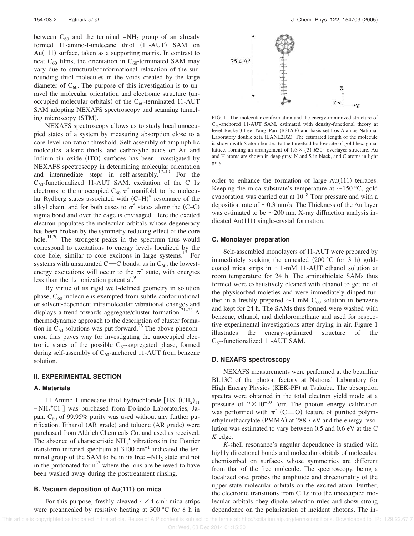between  $C_{60}$  and the terminal  $-NH_2$  group of an already formed  $11$ -amino-l-undecane thiol  $(11-AUT)$  SAM on Au $(111)$  surface, taken as a supporting matrix. In contrast to neat  $C_{60}$  films, the orientation in  $C_{60}$ -terminated SAM may vary due to structural/conformational relaxation of the surrounding thiol molecules in the voids created by the large diameter of  $C_{60}$ . The purpose of this investigation is to unravel the molecular orientation and electronic structure (unoccupied molecular orbitals) of the  $C_{60}$ -terminated 11-AUT SAM adopting NEXAFS spectroscopy and scanning tunneling microscopy (STM).

NEXAFS spectroscopy allows us to study local unoccupied states of a system by measuring absorption close to a core-level ionization threshold. Self-assembly of amphiphilic molecules, alkane thiols, and carboxylic acids on Au and Indium tin oxide (ITO) surfaces has been investigated by NEXAFS spectroscopy in determining molecular orientation and intermediate steps in self-assembly.<sup>17–19</sup> For the C60-functionalized 11-AUT SAM, excitation of the C 1*s* electrons to the unoccupied  $C_{60} \pi^*$  manifold, to the molecular Rydberg states associated with  $(C-H)^*$  resonance of the alkyl chain, and for both cases to  $\sigma^*$  states along the (C–C) sigma bond and over the cage is envisaged. Here the excited electron populates the molecular orbitals whose degeneracy has been broken by the symmetry reducing effect of the core hole.<sup>11,20</sup> The strongest peaks in the spectrum thus would correspond to excitations to energy levels localized by the core hole, similar to core excitons in large systems.<sup>12</sup> For systems with unsaturated C=C bonds, as in  $C_{60}$ , the lowestenergy excitations will occur to the  $\pi^*$  state, with energies less than the 1*s* ionization potential.<sup>9</sup>

By virtue of its rigid well-defined geometry in solution phase,  $C_{60}$  molecule is exempted from subtle conformational or solvent-dependent intramolecular vibrational changes and displays a trend towards aggregate/cluster formation.<sup>21-25</sup> A thermodynamic approach to the description of cluster formation in  $C_{60}$  solutions was put forward.<sup>26</sup> The above phenomenon thus paves way for investigating the unoccupied electronic states of the possible  $C_{60}$ -aggregated phase, formed during self-assembly of  $C_{60}$ -anchored 11-AUT from benzene solution.

#### **II. EXPERIMENTAL SECTION**

#### **A. Materials**

11-Amino-1-undecane thiol hydrochloride  $[HS-(CH<sub>2</sub>)<sub>11</sub>]$ −NH<sup>3</sup> <sup>+</sup>Cl<sup>−</sup> g was purchased from Dojindo Laboratories, Japan.  $C_{60}$  of 99.95% purity was used without any further purification. Ethanol (AR grade) and toluene (AR grade) were purchased from Aldrich Chemicals Co. and used as received. The absence of characteristic  $NH_3^+$  vibrations in the Fourier transform infrared spectrum at 3100 cm−1 indicated the terminal group of the SAM to be in its free  $-NH_2$  state and not in the protonated form $^{27}$  where the ions are believed to have been washed away during the posttreatment rinsing.

#### **B. Vacuum deposition of Au(111) on mica**

For this purpose, freshly cleaved  $4 \times 4$  cm<sup>2</sup> mica strips were preannealed by resistive heating at 300 °C for 8 h in



FIG. 1. The molecular conformation and the energy-minimized structure of  $C_{60}$ -anchored 11-AUT SAM, estimated with density-functional theory at level Becke 3 Lee-Yang-Parr (B3LYP) and basis set Los Alamos National Laboratory double zeta (LANL2DZ). The estimated length of the molecule is shown with S atom bonded to the threefold hollow site of gold hexagonal lattice, forming an arrangement of  $(\sqrt{3} \times \sqrt{3})$   $R30^\circ$  overlayer structure. Au and H atoms are shown in deep gray, N and S in black, and C atoms in light gray.

order to enhance the formation of large  $Au(111)$  terraces. Keeping the mica substrate's temperature at  $\sim$ 150 °C, gold evaporation was carried out at 10−8 Torr pressure and with a deposition rate of  $\sim$  0.3 nm/s. The Thickness of the Au layer was estimated to be  $\sim$  200 nm. X-ray diffraction analysis indicated  $Au(111)$  single-crystal formation.

#### **C. Monolayer preparation**

Self-assembled monolayers of 11-AUT were prepared by immediately soaking the annealed  $(200 °C)$  for 3 h goldcoated mica strips in  $\sim$ 1-mM 11-AUT ethanol solution at room temperature for 24 h. The aminothiolate SAMs thus formed were exhaustively cleaned with ethanol to get rid of the physisorbed moieties and were immediately dipped further in a freshly prepared  $\sim$  1-mM C<sub>60</sub> solution in benzene and kept for 24 h. The SAMs thus formed were washed with benzene, ethanol, and dichloromethane and used for respective experimental investigations after drying in air. Figure 1 illustrates the energy-optimized structure of the  $C_{60}$ -functionalized 11-AUT SAM.

#### **D. NEXAFS spectroscopy**

NEXAFS measurements were performed at the beamline BL13C of the photon factory at National Laboratory for High Energy Physics (KEK-PF) at Tsukuba. The absorption spectra were obtained in the total electron yield mode at a pressure of  $2 \times 10^{-10}$  Torr. The photon energy calibration was performed with  $\pi^*$  (C=O) feature of purified polymethylmethacrylate (PMMA) at 288.7 eV and the energy resolution was estimated to vary between 0.5 and 0.6 eV at the C *K* edge.

*K*-shell resonance's angular dependence is studied with highly directional bonds and molecular orbitals of molecules, chemisorbed on surfaces whose symmetries are different from that of the free molecule. The spectroscopy, being a localized one, probes the amplitude and directionality of the upper-state molecular orbitals on the excited atom. Further, the electronic transitions from C 1*s* into the unoccupied molecular orbitals obey dipole selection rules and show strong dependence on the polarization of incident photons. The in-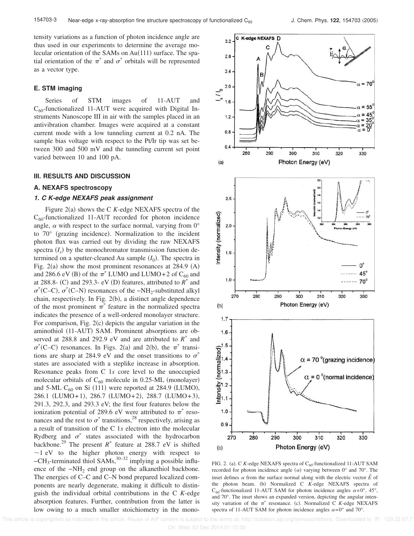tensity variations as a function of photon incidence angle are thus used in our experiments to determine the average molecular orientation of the SAMs on  $Au(111)$  surface. The spatial orientation of the  $\pi^*$  and  $\sigma^*$  orbitals will be represented as a vector type.

#### **E. STM imaging**

Series of STM images of 11-AUT and  $C_{60}$ -functionalized 11-AUT were acquired with Digital Instruments Nanoscope III in air with the samples placed in an antivibration chamber. Images were acquired at a constant current mode with a low tunneling current at 0.2 nA. The sample bias voltage with respect to the Pt/Ir tip was set between 300 and 500 mV and the tunneling current set point varied between 10 and 100 pA.

#### **III. RESULTS AND DISCUSSION**

#### **A. NEXAFS spectroscopy**

#### **1. C K-edge NEXAFS peak assignment**

Figure  $2(a)$  shows the C *K*-edge NEXAFS spectra of the  $C_{60}$ -functionalized 11-AUT recorded for photon incidence angle,  $\alpha$  with respect to the surface normal, varying from  $0^{\circ}$ to  $70^{\circ}$  (grazing incidence). Normalization to the incident photon flux was carried out by dividing the raw NEXAFS spectra  $(I_s)$  by the monochromator transmission function determined on a sputter-cleaned Au sample  $(I_0)$ . The spectra in Fig. 2(a) show the most prominent resonances at  $284.9$  (A) and 286.6 eV (B) of the  $\pi^*$  LUMO and LUMO+2 of C<sub>60</sub> and at 288.8- (C) and 293.3- eV (D) features, attributed to  $R^*$  and  $\sigma^*$ (C–C),  $\sigma^*$ (C–N) resonances of the −NH<sub>2</sub>-substituted alkyl chain, respectively. In Fig.  $2(b)$ , a distinct angle dependence of the most prominent  $\pi^*$  feature in the normalized spectra indicates the presence of a well-ordered monolayer structure. For comparison, Fig.  $2(c)$  depicts the angular variation in the aminothiol (11-AUT) SAM. Prominent absorptions are observed at 288.8 and 292.9 eV and are attributed to  $R^*$  and  $\sigma^*(C-C)$  resonances. In Figs. 2(a) and 2(b), the  $\pi^*$  transitions are sharp at 284.9 eV and the onset transitions to  $\sigma^*$ states are associated with a steplike increase in absorption. Resonance peaks from C 1*s* core level to the unoccupied molecular orbitals of  $C_{60}$  molecule in 0.25-ML (monolayer) and 5-ML  $C_{60}$  on Si (111) were reported at 284.9 (LUMO),  $286.1$  (LUMO+1), 286.7 (LUMO+2), 288.7 (LUMO+3), 291.3, 292.3, and 293.3 eV; the first four features below the ionization potential of 289.6 eV were attributed to  $\pi^*$  resonances and the rest to  $\sigma^*$  transitions,<sup>28</sup> respectively, arising as a result of transition of the C 1*s* electron into the molecular Rydberg and  $\sigma^*$  states associated with the hydrocarbon backbone.<sup>29</sup> The present  $R^*$  feature at 288.7 eV is shifted  $\sim$ 1 eV to the higher photon energy with respect to −CH<sup>3</sup> -terminated thiol SAMs,30–32 implying a possible influence of the −NH<sup>2</sup> end group on the alkanethiol backbone. The energies of C–C and C–N bond prepared localized components are nearly degenerate, making it difficult to distinguish the individual orbital contributions in the C *K*-edge absorption features. Further, contribution from the latter is low owing to a much smaller stoichiometry in the mono-



FIG. 2. (a). C *K*-edge NEXAFS spectra of  $C_{60}$ -functionalized 11-AUT SAM recorded for photon incidence angle  $(\alpha)$  varying between 0° and 70°. The inset defines  $\alpha$  from the surface normal along with the electric vector  $E$  of  $\rightarrow$ the photon beam. (b) Normalized C *K*-edge NEXAFS spectra of C<sub>60</sub>-functionalized 11-AUT SAM for photon incidence angles  $\alpha = 0^{\circ}$ , 45°, and 70°. The inset shows an expanded version, depicting the angular intensity variation of the  $\pi^*$  resonance. (c). Normalized C *K*-edge NEXAFS spectra of 11-AUT SAM for photon incidence angles  $\alpha = 0^{\circ}$  and 70°.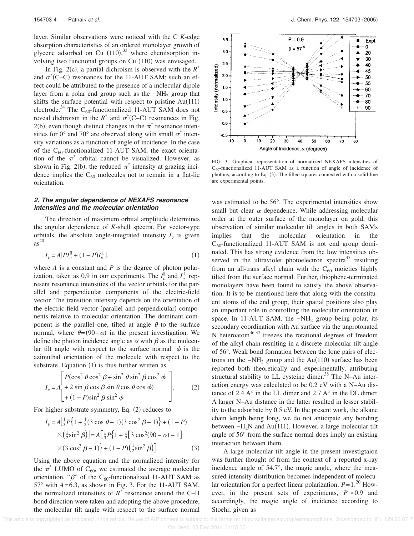layer. Similar observations were noticed with the C *K*-edge absorption characteristics of an ordered monolayer growth of glycene adsorbed on Cu  $(110),^{33}$  where chemisorption involving two functional groups on Cu (110) was envisaged.

In Fig. 2(c), a partial dichroism is observed with the  $R^*$ and  $\sigma^*(C-C)$  resonances for the 11-AUT SAM; such an effect could be attributed to the presence of a molecular dipole layer from a polar end group such as the  $-NH<sub>2</sub>$  group that shifts the surface potential with respect to pristine  $Au(111)$ electrode.<sup>34</sup> The C<sub>60</sub>-functionalized 11-AUT SAM does not reveal dichroism in the  $R^*$  and  $\sigma^*(C-C)$  resonances in Fig. 2(b), even though distinct changes in the  $\pi^*$  resonance intensities for 0° and 70° are observed along with small  $\sigma^*$  intensity variations as a function of angle of incidence. In the case of the  $C_{60}$ -functionalized 11-AUT SAM, the exact orientation of the  $\pi^*$  orbital cannot be visualized. However, as shown in Fig. 2(b), the reduced  $\pi^*$  intensity at grazing incidence implies the  $C_{60}$  molecules not to remain in a flat-lie orientation.

## **2. The angular dependence of NEXAFS resonance intensities and the molecular orientation**

The direction of maximum orbital amplitude determines the angular dependence of *K*-shell spectra. For vector-type orbitals, the absolute angle-integrated intensity  $I_v$  is given as 20

$$
I_{\nu} = A[PI_{\nu}^{\text{II}} + (1 - P)I_{\nu}^{\perp}], \tag{1}
$$

where *A* is a constant and *P* is the degree of photon polarization, taken as 0.9 in our experiments. The  $I_v^{\parallel}$  and  $I_v^{\perp}$  represent resonance intensities of the vector orbitals for the parallel and perpendicular components of the electric-field vector. The transition intensity depends on the orientation of the electric-field vector (parallel and perpendicular) components relative to molecular orientation. The dominant component is the parallel one, tilted at angle  $\theta$  to the surface normal, where  $\theta=(90-\alpha)$  in the present investigation. We define the photon incidence angle as  $\alpha$  with  $\beta$  as the molecular tilt angle with respect to the surface normal.  $\phi$  is the azimuthal orientation of the molecule with respect to the substrate. Equation  $(1)$  is thus further written as

$$
I_v = A \begin{bmatrix} P(\cos^2 \theta \cos^2 \beta + \sin^2 \theta \sin^2 \beta \cos^2 \phi \\ + 2 \sin \beta \cos \beta \sin \theta \cos \theta \cos \phi \\ + (1 - P)\sin^2 \beta \sin^2 \phi \end{bmatrix} .
$$
 (2)

For higher substrate symmetry, Eq.  $(2)$  reduces to

$$
I_{\nu} = A \left[ \frac{1}{3} P \{ 1 + \frac{1}{2} (3 \cos \theta - 1) (3 \cos^2 \beta - 1) \} + (1 - P) \right]
$$
  
 
$$
\times \left( \frac{1}{2} \sin^2 \beta \right) \Big] = A \left[ \frac{1}{3} P \{ 1 + \frac{1}{2} [3 \cos^2 (90 - \alpha) - 1] \} \right]
$$
  
 
$$
\times (3 \cos^2 \beta - 1) \} + (1 - P) \left( \frac{1}{2} \sin^2 \beta \right) \Big].
$$
 (3)

Using the above equation and the normalized intensity for the  $\pi^*$  LUMO of C<sub>60</sub>, we estimated the average molecular orientation, " $\beta$ " of the C<sub>60</sub>-functionalized 11-AUT SAM as  $57^\circ$  with  $A=6.3$ , as shown in Fig. 3. For the 11-AUT SAM, the normalized intensities of  $R^*$  resonance around the C–H bond direction were taken and adopting the above procedure, the molecular tilt angle with respect to the surface normal



FIG. 3. Graphical representation of normalized NEXAFS intensities of  $C_{60}$ -functionalized 11-AUT SAM as a function of angle of incidence of photons, according to Eq.  $(3)$ . The filled squares connected with a solid line are experimental points.

was estimated to be 56°. The experimental intensities show small but clear  $\alpha$  dependence. While addressing molecular order at the outer surface of the monolayer on gold, this observation of similar molecular tilt angles in both SAMs implies that the molecular orientation in the  $C_{60}$ -functionalized 11-AUT SAM is not end group dominated. This has strong evidence from the low intensities observed in the ultraviolet photoelectron spectra<sup>35</sup> resulting from an all-trans alkyl chain with the  $C_{60}$  moieties highly tilted from the surface normal. Further, thiophene-terminated monolayers have been found to satisfy the above observation. It is to be mentioned here that along with the constituent atoms of the end group, their spatial positions also play an important role in controlling the molecular orientation in space. In 11-AUT SAM, the  $-NH<sub>2</sub>$  group being polar, its secondary coordination with Au surface via the unprotonated N heteroatom $^{36,37}$  freezes the rotational degrees of freedom of the alkyl chain resulting in a discrete molecular tilt angle of 56°. Weak bond formation between the lone pairs of electrons on the  $-NH_2$  group and the Au(110) surface has been reported both theoretically and experimentally, attributing structural stability to LL cysteine dimer.<sup>38</sup> The N-Au interaction energy was calculated to be 0.2 eV with a N–Au distance of 2.4  $A^{\circ}$  in the LL dimer and 2.7  $A^{\circ}$  in the DL dimer. A larger N–Au distance in the latter resulted in lesser stability to the adsorbate by 0.5 eV. In the present work, the alkane chain length being long, we do not anticipate any bonding between  $-H<sub>2</sub>N$  and Au(111). However, a large molecular tilt angle of 56° from the surface normal does imply an existing interaction between them.

A large molecular tilt angle in the present investigtaion was further thought of from the context of a reported x-ray incidence angle of 54.7°, the magic angle, where the measured intensity distribution becomes independent of molecular orientation for a perfect linear polarization,  $P=1.^{20}$  However, in the present sets of experiments,  $P \approx 0.9$  and accordingly, the magic angle of incidence according to Stoehr, given as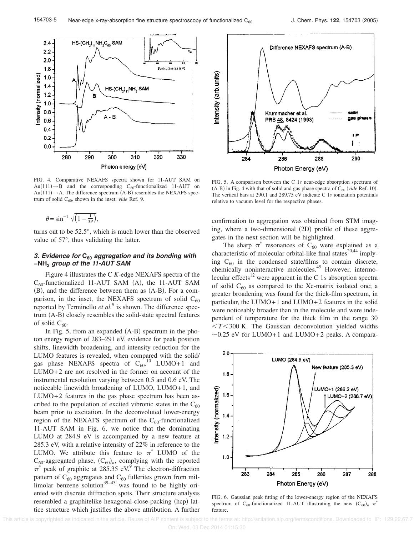

FIG. 4. Comparative NEXAFS spectra shown for 11-AUT SAM on  $Au(111) \rightarrow B$  and the corresponding C<sub>60</sub>-functionalized 11-AUT on  $Au(111) \rightarrow A$ . The difference spectrum (A-B) resembles the NEXAFS spectrum of solid  $C_{60}$ , shown in the inset, *vide* Ref. 9.

$$
\theta = \sin^{-1} \sqrt{\left(1 - \frac{1}{3P}\right)},
$$

turns out to be 52.5°, which is much lower than the observed value of 57°, thus validating the latter.

## **3. Evidence for C<sup>60</sup> aggregation and its bonding with −NH<sup>2</sup> group of the 11-AUT SAM**

Figure 4 illustrates the C *K*-edge NEXAFS spectra of the  $C_{60}$ -functionalized 11-AUT SAM (A), the 11-AUT SAM  $(B)$ , and the difference between them as  $(A-B)$ . For a comparison, in the inset, the NEXAFS spectrum of solid  $C_{60}$ reported by Terminello *et al.*<sup>9</sup> is shown. The difference spectrum  $(A-B)$  closely resembles the solid-state spectral features of solid  $C_{60}$ .

In Fig. 5, from an expanded  $(A-B)$  spectrum in the photon energy region of 283–291 eV, evidence for peak position shifts, linewidth broadening, and intensity reduction for the LUMO features is revealed, when compared with the solid/ gas phase NEXAFS spectra of  $C_{60}^{10}$  LUMO+1 and LUMO+2 are not resolved in the former on account of the instrumental resolution varying between 0.5 and 0.6 eV. The noticeable linewidth broadening of LUMO, LUMO+1, and LUMO+2 features in the gas phase spectrum has been ascribed to the population of excited vibronic states in the  $C_{60}$ beam prior to excitation. In the deconvoluted lower-energy region of the NEXAFS spectrum of the  $C_{60}$ -functionalized 11-AUT SAM in Fig. 6, we notice that the dominating LUMO at 284.9 eV is accompanied by a new feature at 285.3 eV, with a relative intensity of 22% in reference to the LUMO. We attribute this feature to  $\pi^*$  LUMO of the  $C_{60}$ -aggregated phase,  $(C_{60})_n$ , complying with the reported  $\pi^*$  peak of graphite at 285.35 eV.<sup>9</sup> The electron-diffraction pattern of  $C_{60}$  aggregates and  $C_{60}$  fullerites grown from millimolar benzene solution $39-43$  was found to be highly oriented with discrete diffraction spots. Their structure analysis resembled a graphitelike hexagonal-close-packing (hcp) lattice structure which justifies the above attribution. A further



FIG. 5. A comparison between the C 1*s* near-edge absorption spectrum of  $(A-B)$  in Fig. 4 with that of solid and gas phase spectra of  $C_{60}$  (*vide* Ref. 10). The vertical bars at 290.1 and 289.75 eV indicate C 1*s* ionization potentials relative to vacuum level for the respective phases.

confirmation to aggregation was obtained from STM imaging, where a two-dimensional  $(2D)$  profile of these aggregates in the next section will be highlighted.

The sharp  $\pi^*$  resonances of C<sub>60</sub> were explained as a characteristic of molecular orbital-like final states<sup>20,44</sup> implying  $C_{60}$  in the condensed state/films to contain discrete, chemically noninteractive molecules.<sup>45</sup> However, intermolecular effects<sup>12</sup> were apparent in the C 1 $s$  absorption spectra of solid  $C_{60}$  as compared to the Xe-matrix isolated one; a greater broadening was found for the thick-film spectrum, in particular, the LUMO+1 and LUMO+2 features in the solid were noticeably broader than in the molecule and were independent of temperature for the thick film in the range 30  $\langle T \rangle$  7 The Gaussian deconvolution yielded widths  $\sim$ 0.25 eV for LUMO+1 and LUMO+2 peaks. A compara-



FIG. 6. Gaussian peak fitting of the lower-energy region of the NEXAFS spectrum of C<sub>60</sub>-functionalized 11-AUT illustrating the new  $(C_{60})_n \pi^*$ feature.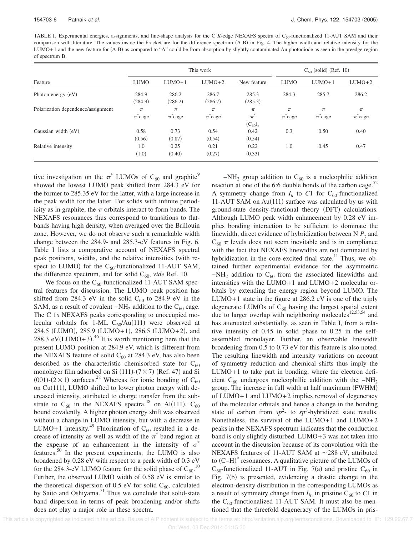TABLE I. Experimental energies, assignments, and line-shape analysis for the C *K*-edge NEXAFS spectra of C<sub>60</sub>-functionalized 11-AUT SAM and their comparison with literature. The values inside the bracket are for the difference spectrum (A-B) in Fig. 4. The higher width and relative intensity for the  $LUMO+1$  and the new feature for  $(A-B)$  as compared to "A" could be from absorption by slightly contaminated Au photodiode as seen in the preedge region of spectrum B.

| Feature                            | This work           |                     |                     |                                  | $C_{60}$ (solid) (Ref. 10) |                     |                     |
|------------------------------------|---------------------|---------------------|---------------------|----------------------------------|----------------------------|---------------------|---------------------|
|                                    | <b>LUMO</b>         | $LUMO+1$            | $LUMO+2$            | New feature                      | <b>LUMO</b>                | $LUMO+1$            | $LUMO+2$            |
| Photon energy (eV)                 | 284.9<br>(284.9)    | 286.2<br>(286.2)    | 286.7<br>(286.7)    | 285.3<br>(285.3)                 | 284.3                      | 285.7               | 286.2               |
| Polarization dependence/assignment | $\pi$<br>$\pi$ cage | $\pi$<br>$\pi$ cage | $\pi$<br>$\pi$ cage | $\pi$<br>$\pi^*$<br>$(C_{60})_n$ | $\pi$<br>$\pi^*$ cage      | $\pi$<br>$\pi$ cage | $\pi$<br>$\pi$ cage |
| Gaussian width (eV)                | 0.58<br>(0.56)      | 0.73<br>(0.87)      | 0.54<br>(0.54)      | 0.42<br>(0.54)                   | 0.3                        | 0.50                | 0.40                |
| Relative intensity                 | 1.0<br>(1.0)        | 0.25<br>(0.40)      | 0.21<br>(0.27)      | 0.22<br>(0.33)                   | 1.0                        | 0.45                | 0.47                |

tive investigation on the  $\pi^*$  LUMOs of C<sub>60</sub> and graphite<sup>9</sup> showed the lowest LUMO peak shifted from 284.3 eV for the former to 285.35 eV for the latter, with a large increase in the peak width for the latter. For solids with infinite periodicity as in graphite, the  $\pi$  orbitals interact to form bands. The NEXAFS resonances thus correspond to transitions to flatbands having high density, when averaged over the Brillouin zone. However, we do not observe such a remarkable width change between the 284.9- and 285.3-eV features in Fig. 6. Table I lists a comparative account of NEXAFS spectral peak positions, widths, and the relative intensities (with respect to LUMO) for the  $C_{60}$ -functionalized 11-AUT SAM, the difference spectrum, and for solid  $C_{60}$ , *vide* Ref. 10.

We focus on the  $C_{60}$ -functionalized 11-AUT SAM spectral features for discussion. The LUMO peak position has shifted from 284.3 eV in the solid  $C_{60}$  to 284.9 eV in the SAM, as a result of covalent  $-NH_2$  addition to the C<sub>60</sub> cage. The C 1*s* NEXAFS peaks corresponding to unoccupied molecular orbitals for 1-ML  $C_{60}/Au(111)$  were observed at 284.5 (LUMO), 285.9 (LUMO+1), 286.5 (LUMO+2), and 288.3 eV(LUMO+3).<sup>46</sup> It is worth mentioning here that the present LUMO position at 284.9 eV, which is different from the NEXAFS feature of solid  $C_{60}$  at 284.3 eV, has also been described as the characteristic chemisorbed state for  $C_{60}$ monolayer film adsorbed on Si  $(111)-(7\times7)$  (Ref. 47) and Si (001)-( $2 \times 1$ ) surfaces.<sup>28</sup> Whereas for ionic bonding of C<sub>60</sub> on Cu(111), LUMO shifted to lower photon energy with decreased intensity, attributed to charge transfer from the substrate to  $C_{60}$  in the NEXAFS spectra,<sup>48</sup> on Al(111),  $C_{60}$ bound covalently. A higher photon energy shift was observed without a change in LUMO intensity, but with a decrease in LUMO+1 intensity.<sup>49</sup> Fluorination of  $C_{60}$  resulted in a decrease of intensity as well as width of the  $\pi^*$  band region at the expense of an enhancement in the intensity of  $\sigma^*$ features.<sup>50</sup> In the present experiments, the LUMO is also broadened by 0.28 eV with respect to a peak width of 0.3 eV for the 284.3-eV LUMO feature for the solid phase of  $C_{60}$ .<sup>10</sup> Further, the observed LUMO width of 0.58 eV is similar to the theoretical dispersion of 0.5 eV for solid  $C_{60}$ , calculated by Saito and Oshiyama.<sup>51</sup> Thus we conclude that solid-state band dispersion in terms of peak broadening and/or shifts does not play a major role in these spectra.

 $-NH_2$  group addition to C<sub>60</sub> is a nucleophilic addition reaction at one of the 6:6 double bonds of the carbon cage. $52$ A symmetry change from  $I_h$  to  $C_1$  for  $C_{60}$ -functionalized 11-AUT SAM on  $Au(111)$  surface was calculated by us with ground-state density-functional theory (DFT) calculations. Although LUMO peak width enhancement by 0.28 eV implies bonding interaction to be sufficient to dominate the linewidth, direct evidence of hybridization between N *P<sup>z</sup>* and  $C_{60}$   $\pi$  levels does not seem inevitable and is in compliance with the fact that NEXAFS linewidths are not dominated by hybridization in the core-excited final state.<sup>11</sup> Thus, we obtained further experimental evidence for the asymmetric  $-NH_2$  addition to C<sub>60</sub> from the associated linewidths and intensities with the LUMO+1 and LUMO+2 molecular orbitals by extending the energy region beyond LUMO. The LUMO+1 state in the figure at 286.2 eV is one of the triply degenerate LUMOs of  $C_{60}$  having the largest spatial extent due to larger overlap with neighboring molecules<sup>12,53,54</sup> and has attenuated substantially, as seen in Table I, from a relative intensity of 0.45 in solid phase to 0.25 in the selfassembled monolayer. Further, an observable linewidth broadening from 0.5 to 0.73 eV for this feature is also noted. The resulting linewidth and intensity variations on account of symmetry reduction and chemical shifts thus imply the LUMO+1 to take part in bonding, where the electron deficient C<sub>60</sub> undergoes nucleophillic addition with the  $-NH_2$ group. The increase in full width at half maximum (FWHM) of LUMO+1 and LUMO+2 implies removal of degeneracy of the molecular orbitals and hence a change in the bonding state of carbon from  $sp^2$ - to  $sp^3$ -hybridized state results. Nonetheless, the survival of the LUMO+1 and LUMO+2 peaks in the NEXAFS spectrum indicates that the conduction band is only slightly disturbed. LUMO+3 was not taken into account in the discussion because of its convolution with the NEXAFS features of 11-AUT SAM at  $\sim$ 288 eV, attributed to  $(C-H)^*$  resonances. A qualitative picture of the LUMOs of  $C_{60}$ -functionalized 11-AUT in Fig. 7(a) and pristine  $C_{60}$  in Fig.  $7(b)$  is presented, evidencing a drastic change in the electron-density distribution in the corresponding LUMOs as a result of symmetry change from  $I_h$ , in pristine  $C_{60}$  to  $C1$  in the  $C_{60}$ -functionalized 11-AUT SAM. It must also be mentioned that the threefold degeneracy of the LUMOs in pris-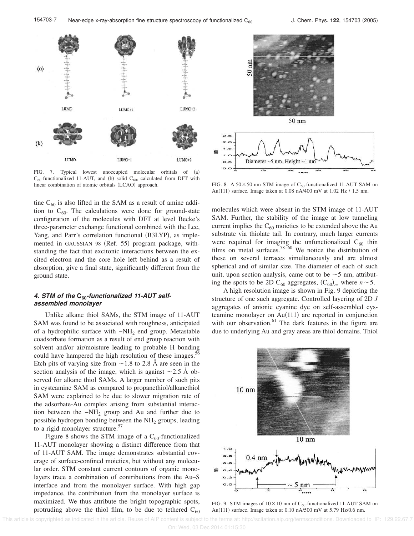

FIG. 7. Typical lowest unoccupied molecular orbitals of (a)  $C_{60}$ -functionalized 11-AUT, and (b) solid  $C_{60}$ , calculated from DFT with linear combination of atomic orbitals (LCAO) approach. FIG. 8. A  $50 \times 50$  nm STM image of C<sub>60</sub>-functionalized 11-AUT SAM on

tine  $C_{60}$  is also lifted in the SAM as a result of amine addition to  $C_{60}$ . The calculations were done for ground-state configuration of the molecules with DFT at level Becke's three-parameter exchange functional combined with the Lee, Yang, and Parr's correlation functional (B3LYP), as implemented in GAUSSIAN 98 (Ref. 55) program package, withstanding the fact that excitonic interactions between the excited electron and the core hole left behind as a result of absorption, give a final state, significantly different from the ground state.

## **4. STM of the C60-functionalized 11-AUT selfassembled monolayer**

Unlike alkane thiol SAMs, the STM image of 11-AUT SAM was found to be associated with roughness, anticipated of a hydrophilic surface with −NH<sup>2</sup> end group. Metastable coadsorbate formation as a result of end group reaction with solvent and/or air/moisture leading to probable H bonding could have hampered the high resolution of these images.<sup>50</sup> Etch pits of varying size from  $\sim$  1.8 to 2.8 Å are seen in the section analysis of the image, which is against  $\sim$ 2.5 Å observed for alkane thiol SAMs. A larger number of such pits in cysteamine SAM as compared to propanethiol/alkanethiol SAM were explained to be due to slower migration rate of the adsorbate-Au complex arising from substantial interaction between the  $-NH_2$  group and Au and further due to possible hydrogen bonding between the  $NH<sub>2</sub>$  groups, leading to a rigid monolayer structure.<sup>57</sup>

Figure 8 shows the STM image of a  $C_{60}$ -functionalized 11-AUT monolayer showing a distinct difference from that of 11-AUT SAM. The image demonstrates substantial coverage of surface-confined moieties, but without any molecular order. STM constant current contours of organic monolayers trace a combination of contributions from the Au–S interface and from the monolayer surface. With high gap impedance, the contribution from the monolayer surface is maximized. We thus attribute the bright topographic spots, protruding above the thiol film, to be due to tethered  $C_{60}$ 



Au(111) surface. Image taken at 0.08 nA/400 mV at 1.02 Hz / 1.5 nm.

molecules which were absent in the STM image of 11-AUT SAM. Further, the stability of the image at low tunneling current implies the  $C_{60}$  moieties to be extended above the Au substrate via thiolate tail. In contrary, much larger currents were required for imaging the unfunctionalized  $C_{60}$  thin films on metal surfaces.<sup>58–60</sup> We notice the distribution of these on several terraces simultaneously and are almost spherical and of similar size. The diameter of each of such unit, upon section analysis, came out to be  $\sim$  5 nm, attributing the spots to be 2D C<sub>60</sub> aggregates,  $(C_{60})_n$ , where  $n \sim 5$ .

A high resolution image is shown in Fig. 9 depicting the structure of one such aggregate. Controlled layering of 2D *J* aggregates of anionic cyanine dye on self-assembled cysteamine monolayer on  $Au(111)$  are reported in conjunction with our observation. $61$  The dark features in the figure are due to underlying Au and gray areas are thiol domains. Thiol



FIG. 9. STM images of  $10\times10$  nm of C<sub>60</sub>-functionalized 11-AUT SAM on Au(111) surface. Image taken at 0.10 nA/500 mV at 5.79 Hz/0.6 nm.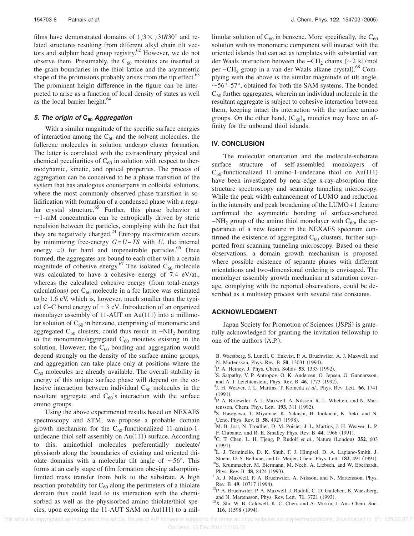films have demonstrated domains of  $(\sqrt{3} \times \sqrt{3})R30^\circ$  and related structures resulting from different alkyl chain tilt vectors and sulphur head group registry.<sup>62</sup> However, we do not observe them. Presumably, the  $C_{60}$  moieties are inserted at the grain boundaries in the thiol lattice and the asymmetric shape of the protrusions probably arises from the tip effect. $63$ The prominent height difference in the figure can be interpreted to arise as a function of local density of states as well as the local barrier height. $64$ 

## **5. The origin of C<sup>60</sup> Aggregation**

With a similar magnitude of the specific surface energies of interaction among the  $C_{60}$  and the solvent molecules, the fullerene molecules in solution undergo cluster formation. The latter is correlated with the extraordinary physical and chemical peculiarities of  $C_{60}$  in solution with respect to thermodynamic, kinetic, and optical properties. The process of aggregation can be conceived to be a phase transition of the system that has analogous counterparts in colloidal solutions, where the most commonly observed phase transition is solidification with formation of a condensed phase with a regular crystal structure. $65$  Further, this phase behavior at  $\sim$ 1-mM concentration can be entropically driven by steric repulsion between the particles, complying with the fact that they are negatively charged. $^{24}$  Entropy maximization occurs by minimizing free-energy *G*=*U*−*TS* with *U*, the internal energy  $=0$  for hard and impenetrable particles.<sup>66</sup> Once formed, the aggregates are bound to each other with a certain magnitude of cohesive energy.<sup>67</sup> The isolated  $C_{60}$  molecule was calculated to have a cohesive energy of 7.4 eV/at., whereas the calculated cohesive energy (from total-energy calculations) per  $C_{60}$  molecule in a fcc lattice was estimated to be 1.6 eV, which is, however, much smaller than the typical C–C bond energy of  $\sim$ 3 eV. Introduction of an organized monolayer assembly of 11-AUT on  $Au(111)$  into a millimolar solution of  $C_{60}$  in benzene, comprising of monomeric and aggregated  $C_{60}$  clusters, could thus result in  $-NH_2$  bonding to the monomeric/aggregated  $C_{60}$  moieties existing in the solution. However, the  $C_{60}$  bonding and aggregation would depend strongly on the density of the surface amino groups, and aggregation can take place only at positions where the  $C_{60}$  molecules are already available. The overall stability in energy of this unique surface phase will depend on the cohesive interaction between individual  $C_{60}$  molecules in the resultant aggregate and  $C_{60}$ 's interaction with the surface amino groups.

Using the above experimental results based on NEXAFS spectroscopy and STM, we propose a probable domain growth mechanism for the  $C_{60}$ -functionalized 11-amino-1undecane thiol self-assembly on  $Au(111)$  surface. According to this, aminothiol molecules preferentially nucleate/ physisorb along the boundaries of existing and oriented thiolate domains with a molecular tilt angle of  $\sim 56^{\circ}$ . This forms at an early stage of film formation obeying adsorptionlimited mass transfer from bulk to the substrate. A high reaction probability for  $C_{60}$  along the perimeters of a thiolate domain thus could lead to its interaction with the chemisorbed as well as the physisorbed amino thiolate/thiol species, upon exposing the 11-AUT SAM on  $Au(111)$  to a millimolar solution of  $C_{60}$  in benzene. More specifically, the  $C_{60}$ solution with its monomeric component will interact with the oriented islands that can act as templates with substantial van der Waals interaction between the −CH<sub>2</sub> chains ( $\sim$ 2 kJ/mol per −CH<sub>2</sub> group in a van der Waals alkane crystal).<sup>68</sup> Complying with the above is the similar magnitude of tilt angle,  $\sim$  56 $^{\circ}$ –57 $^{\circ}$ , obtained for both the SAM systems. The bonded  $C_{60}$  further aggregates, wherein an individual molecule in the resultant aggregate is subject to cohesive interaction between them, keeping intact its interaction with the surface amino groups. On the other hand,  $(C_{60})$ <sub>n</sub> moieties may have an affinity for the unbound thiol islands.

#### **IV. CONCLUSION**

The molecular orientation and the molecule-substrate surface structure of self-assembled monolayers of  $C_{60}$ -functionalized 11-amino-1-undecane thiol on Au(111) have been investigated by near-edge x-ray-absorption fine structure spectroscopy and scanning tunneling microscopy. While the peak width enhancement of LUMO and reduction in the intensity and peak broadening of the LUMO+1 feature confirmed the asymmetric bonding of surface-anchored  $-VH<sub>2</sub>$  group of the amino thiol monolayer with C<sub>60</sub>, the appearance of a new feature in the NEXAFS spectrum confirmed the existence of aggregated  $C_{60}$  clusters, further supported from scanning tunneling microscopy. Based on these observations, a domain growth mechanism is proposed where possible existence of separate phases with different orientations and two-dimensional ordering is envisaged. The monolayer assembly growth mechanism at saturation coverage, complying with the reported observations, could be described as a multistep process with several rate constants.

#### **ACKNOWLEDGMENT**

Japan Society for Promotion of Sciences (JSPS) is gratefully acknowledged for granting the invitation fellowship to one of the authors  $(A.P.).$ 

- <sup>1</sup>B. Waestberg, S. Lunell, C. Enkvist, P. A. Bruehwiler, A. J. Maxwell, and
- N. Martensson, Phys. Rev. B 50, 13031 (1994).
- <sup>2</sup>P. A. Heiney, J. Phys. Chem. Solids **53**, 1333 (1992).
- <sup>3</sup>S. Satpathy, V. P. Antropov, O. K. Andersen, O. Jepsen, O. Gunnarsson, and A. I. Leichtenstein, Phys. Rev. B 46, 1773 (1992).
- 4 J. H. Weaver, J. L. Martins, T. Komeda *et al.*, Phys. Rev. Lett. **66**, 1741  $(1991)$ .
- 5 P. A. Bruewiler, A. J. Maxwell, A. Nilsson, R. L. Whetten, and N. Martensson, Chem. Phys. Lett. **193**, 311 (1992).
- 6 S. Hasegawa, T. Miyamae, K. Yakushi, H. Inokuchi, K. Seki, and N. Ueno, Phys. Rev. B 58, 4927 (1998).
- <sup>7</sup>M. B. Jost, N. Troullier, D. M. Poisier, J. L. Martins, J. H. Weaver, L. P. F. Chibante, and R. E. Smalley Phys. Rev. B 44, 1966 (1991).
- <sup>8</sup>C. T. Chen, L. H. Tjeng, P. Rudolf *et al.*, Nature (London) 352, 603  $(1991).$
- 9 L. J. Terminello, D. K. Shuh, F. J. Himpsel, D. A. Lapiano-Smith, J.
- Stoehr, D. S. Bethune, and G. Meijer, Chem. Phys. Lett. **182**, 491 (1991). <sup>10</sup>S. Krummacher, M. Biermann, M. Neeb, A. Liebsch, and W. Eberhardt, Phys. Rev. B 48, 8424 (1993).
- <sup>11</sup>A. J. Maxwell, P. A. Bruehwiler, A. Nilsson, and N. Martensson, Phys. Rev. B 49, 10717 (1994).
- <sup>12</sup>P. A. Bruehwiler, P. A. Maxwell, J. Rudolf, C. D. Gutleben, B. Waestberg, and N. Martensson, Phys. Rev. Lett. **71**, 3721 (1993).
- <sup>13</sup>X. Shi, W. B. Caldwell, K. C. Chen, and A. Mirkin, J. Am. Chem. Soc. **116**, 11598 (1994).